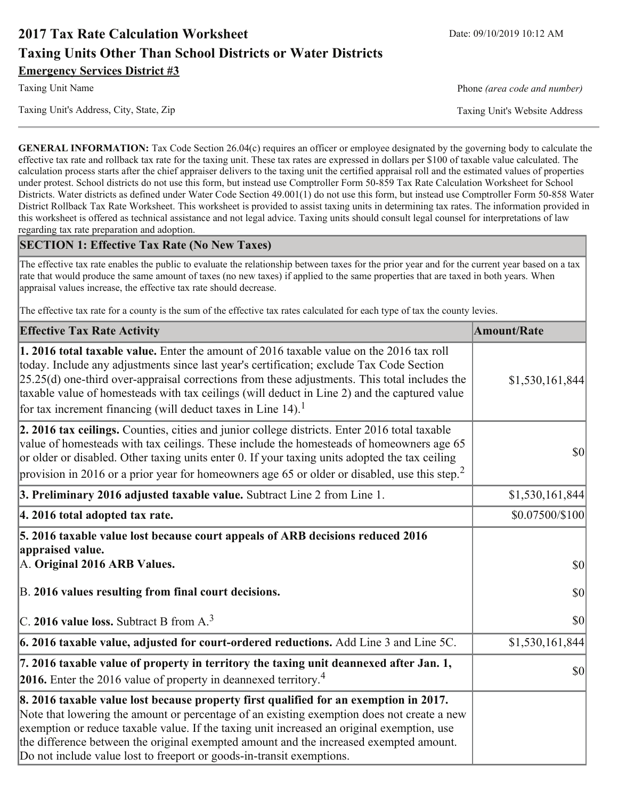# **2017 Tax Rate Calculation Worksheet Taxing Units Other Than School Districts or Water Districts Emergency Services District #3**

Taxing Unit's Address, City, State, Zip

**Taxing Unit Name** 

Phone (area code and number)

Taxing Unit's Website Address

**GENERAL INFORMATION:** Tax Code Section 26.04(c) requires an officer or employee designated by the governing body to calculate the effective tax rate and rollback tax rate for the taxing unit. These tax rates are expressed in dollars per \$100 of taxable value calculated. The calculation process starts after the chief appraiser delivers to the taxing unit the certified appraisal roll and the estimated values of properties under protest. School districts do not use this form, but instead use Comptroller Form 50-859 Tax Rate Calculation Worksheet for School Districts. Water districts as defined under Water Code Section 49.001(1) do not use this form, but instead use Comptroller Form 50-858 Water District Rollback Tax Rate Worksheet. This worksheet is provided to assist taxing units in determining tax rates. The information provided in this worksheet is offered as technical assistance and not legal advice. Taxing units should consult legal counsel for interpretations of law regarding tax rate preparation and adoption.

### **SECTION 1: Effective Tax Rate (No New Taxes)**

The effective tax rate enables the public to evaluate the relationship between taxes for the prior year and for the current year based on a tax rate that would produce the same amount of taxes (no new taxes) if applied to the same properties that are taxed in both years. When appraisal values increase, the effective tax rate should decrease.

The effective tax rate for a county is the sum of the effective tax rates calculated for each type of tax the county levies.

| <b>Effective Tax Rate Activity</b>                                                                                                                                                                                                                                                                                                                                                                                                                                      | <b>Amount/Rate</b>                  |
|-------------------------------------------------------------------------------------------------------------------------------------------------------------------------------------------------------------------------------------------------------------------------------------------------------------------------------------------------------------------------------------------------------------------------------------------------------------------------|-------------------------------------|
| 1. 2016 total taxable value. Enter the amount of 2016 taxable value on the 2016 tax roll<br>today. Include any adjustments since last year's certification; exclude Tax Code Section<br>$[25.25(d)$ one-third over-appraisal corrections from these adjustments. This total includes the<br>taxable value of homesteads with tax ceilings (will deduct in Line 2) and the captured value<br>for tax increment financing (will deduct taxes in Line $14$ ). <sup>1</sup> | \$1,530,161,844                     |
| 2. 2016 tax ceilings. Counties, cities and junior college districts. Enter 2016 total taxable<br>value of homesteads with tax ceilings. These include the homesteads of homeowners age 65<br>or older or disabled. Other taxing units enter 0. If your taxing units adopted the tax ceiling<br>provision in 2016 or a prior year for homeowners age 65 or older or disabled, use this step. <sup>2</sup>                                                                | 30                                  |
| 3. Preliminary 2016 adjusted taxable value. Subtract Line 2 from Line 1.                                                                                                                                                                                                                                                                                                                                                                                                | \$1,530,161,844                     |
| 4. 2016 total adopted tax rate.                                                                                                                                                                                                                                                                                                                                                                                                                                         | \$0.07500/\$100                     |
| 5. 2016 taxable value lost because court appeals of ARB decisions reduced 2016<br>appraised value.<br>A. Original 2016 ARB Values.                                                                                                                                                                                                                                                                                                                                      | $ 10\rangle$                        |
| B. 2016 values resulting from final court decisions.                                                                                                                                                                                                                                                                                                                                                                                                                    | 30                                  |
| C. 2016 value loss. Subtract B from $A3$                                                                                                                                                                                                                                                                                                                                                                                                                                | $\vert \mathbf{S} \mathbf{O} \vert$ |
| $\vert$ 6. 2016 taxable value, adjusted for court-ordered reductions. Add Line 3 and Line 5C.                                                                                                                                                                                                                                                                                                                                                                           | \$1,530,161,844                     |
| 7. 2016 taxable value of property in territory the taxing unit deannexed after Jan. 1,<br><b>2016.</b> Enter the 2016 value of property in deannexed territory. <sup>4</sup>                                                                                                                                                                                                                                                                                            | $ 10\rangle$                        |
| 8. 2016 taxable value lost because property first qualified for an exemption in 2017.<br>Note that lowering the amount or percentage of an existing exemption does not create a new<br>exemption or reduce taxable value. If the taxing unit increased an original exemption, use<br>the difference between the original exempted amount and the increased exempted amount.<br>Do not include value lost to freeport or goods-in-transit exemptions.                    |                                     |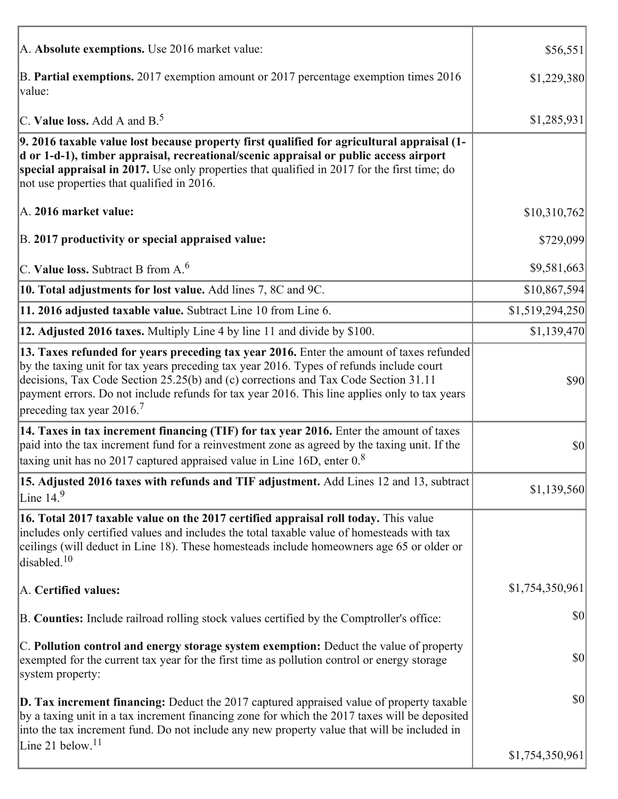| A. Absolute exemptions. Use 2016 market value:                                                                                                                                                                                                                                                                                                                                                                        | \$56,551        |
|-----------------------------------------------------------------------------------------------------------------------------------------------------------------------------------------------------------------------------------------------------------------------------------------------------------------------------------------------------------------------------------------------------------------------|-----------------|
| B. Partial exemptions. 2017 exemption amount or 2017 percentage exemption times 2016<br>value:                                                                                                                                                                                                                                                                                                                        | \$1,229,380     |
| C. Value loss. Add A and $B^5$ .                                                                                                                                                                                                                                                                                                                                                                                      | \$1,285,931     |
| 9. 2016 taxable value lost because property first qualified for agricultural appraisal (1-<br>d or 1-d-1), timber appraisal, recreational/scenic appraisal or public access airport<br>special appraisal in 2017. Use only properties that qualified in 2017 for the first time; do<br>not use properties that qualified in 2016.                                                                                     |                 |
| A. 2016 market value:                                                                                                                                                                                                                                                                                                                                                                                                 | \$10,310,762    |
| B. 2017 productivity or special appraised value:                                                                                                                                                                                                                                                                                                                                                                      | \$729,099       |
| C. Value loss. Subtract B from $A6$                                                                                                                                                                                                                                                                                                                                                                                   | \$9,581,663     |
| 10. Total adjustments for lost value. Add lines 7, 8C and 9C.                                                                                                                                                                                                                                                                                                                                                         | \$10,867,594    |
| 11. 2016 adjusted taxable value. Subtract Line 10 from Line 6.                                                                                                                                                                                                                                                                                                                                                        | \$1,519,294,250 |
| 12. Adjusted 2016 taxes. Multiply Line 4 by line 11 and divide by \$100.                                                                                                                                                                                                                                                                                                                                              | \$1,139,470     |
| 13. Taxes refunded for years preceding tax year 2016. Enter the amount of taxes refunded<br>by the taxing unit for tax years preceding tax year 2016. Types of refunds include court<br>decisions, Tax Code Section 25.25(b) and (c) corrections and Tax Code Section 31.11<br>payment errors. Do not include refunds for tax year 2016. This line applies only to tax years<br>preceding tax year 2016. <sup>7</sup> | \$90            |
| 14. Taxes in tax increment financing (TIF) for tax year 2016. Enter the amount of taxes<br>paid into the tax increment fund for a reinvestment zone as agreed by the taxing unit. If the<br>taxing unit has no 2017 captured appraised value in Line 16D, enter $0.8$                                                                                                                                                 | 30              |
| 15. Adjusted 2016 taxes with refunds and TIF adjustment. Add Lines 12 and 13, subtract<br>Line $149$                                                                                                                                                                                                                                                                                                                  | \$1,139,560     |
| 16. Total 2017 taxable value on the 2017 certified appraisal roll today. This value<br>includes only certified values and includes the total taxable value of homesteads with tax<br>ceilings (will deduct in Line 18). These homesteads include homeowners age 65 or older or<br>disabled. $10$                                                                                                                      |                 |
| A. Certified values:                                                                                                                                                                                                                                                                                                                                                                                                  | \$1,754,350,961 |
| B. Counties: Include railroad rolling stock values certified by the Comptroller's office:                                                                                                                                                                                                                                                                                                                             | \$0             |
| C. Pollution control and energy storage system exemption: Deduct the value of property<br>exempted for the current tax year for the first time as pollution control or energy storage<br>system property:                                                                                                                                                                                                             | \$0             |
| <b>D. Tax increment financing:</b> Deduct the 2017 captured appraised value of property taxable<br>by a taxing unit in a tax increment financing zone for which the 2017 taxes will be deposited<br>into the tax increment fund. Do not include any new property value that will be included in                                                                                                                       | $ 10\rangle$    |
| Line 21 below. <sup>11</sup>                                                                                                                                                                                                                                                                                                                                                                                          | \$1,754,350,961 |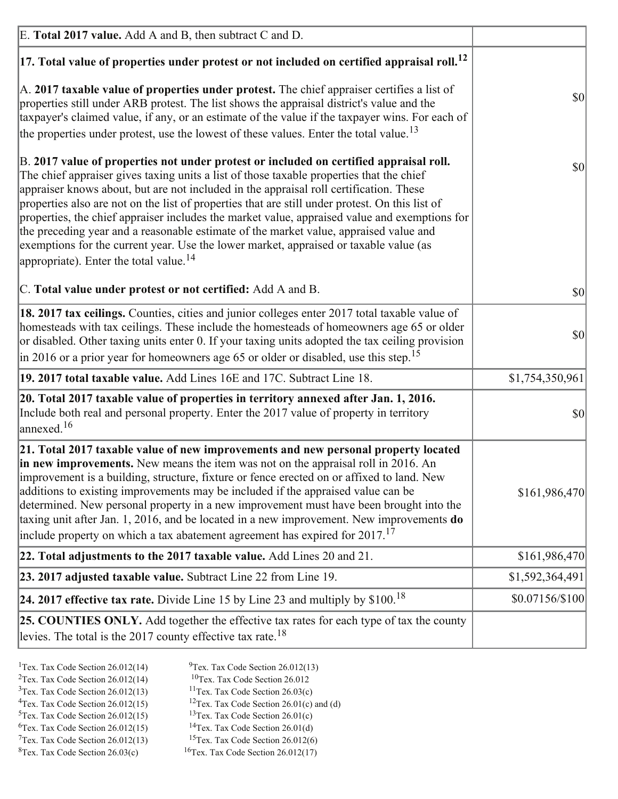| E. Total 2017 value. Add A and B, then subtract C and D.                                                                                                                                                                                                                                                                                                                                                                                                                                                                                                                                                                                                                                                                 |                 |
|--------------------------------------------------------------------------------------------------------------------------------------------------------------------------------------------------------------------------------------------------------------------------------------------------------------------------------------------------------------------------------------------------------------------------------------------------------------------------------------------------------------------------------------------------------------------------------------------------------------------------------------------------------------------------------------------------------------------------|-----------------|
| $ 17$ . Total value of properties under protest or not included on certified appraisal roll. <sup>12</sup>                                                                                                                                                                                                                                                                                                                                                                                                                                                                                                                                                                                                               |                 |
| A. 2017 taxable value of properties under protest. The chief appraiser certifies a list of<br>properties still under ARB protest. The list shows the appraisal district's value and the<br>taxpayer's claimed value, if any, or an estimate of the value if the taxpayer wins. For each of<br>the properties under protest, use the lowest of these values. Enter the total value. <sup>13</sup>                                                                                                                                                                                                                                                                                                                         | \$0             |
| B. 2017 value of properties not under protest or included on certified appraisal roll.<br>The chief appraiser gives taxing units a list of those taxable properties that the chief<br>appraiser knows about, but are not included in the appraisal roll certification. These<br>properties also are not on the list of properties that are still under protest. On this list of<br>properties, the chief appraiser includes the market value, appraised value and exemptions for<br>the preceding year and a reasonable estimate of the market value, appraised value and<br>exemptions for the current year. Use the lower market, appraised or taxable value (as<br>appropriate). Enter the total value. <sup>14</sup> | \$0             |
| C. Total value under protest or not certified: Add A and B.                                                                                                                                                                                                                                                                                                                                                                                                                                                                                                                                                                                                                                                              | $ 10\rangle$    |
| 18. 2017 tax ceilings. Counties, cities and junior colleges enter 2017 total taxable value of<br>homesteads with tax ceilings. These include the homesteads of homeowners age 65 or older<br>or disabled. Other taxing units enter 0. If your taxing units adopted the tax ceiling provision<br>$\vert$ in 2016 or a prior year for homeowners age 65 or older or disabled, use this step. <sup>15</sup>                                                                                                                                                                                                                                                                                                                 | \$0             |
| 19. 2017 total taxable value. Add Lines 16E and 17C. Subtract Line 18.                                                                                                                                                                                                                                                                                                                                                                                                                                                                                                                                                                                                                                                   | \$1,754,350,961 |
| 20. Total 2017 taxable value of properties in territory annexed after Jan. 1, 2016.<br>Include both real and personal property. Enter the 2017 value of property in territory<br>$\text{anne}$ xed. <sup>16</sup>                                                                                                                                                                                                                                                                                                                                                                                                                                                                                                        | $ 10\rangle$    |
| 21. Total 2017 taxable value of new improvements and new personal property located<br>in new improvements. New means the item was not on the appraisal roll in 2016. An<br>improvement is a building, structure, fixture or fence erected on or affixed to land. New<br>additions to existing improvements may be included if the appraised value can be<br>determined. New personal property in a new improvement must have been brought into the<br>taxing unit after Jan. 1, 2016, and be located in a new improvement. New improvements <b>do</b><br>include property on which a tax abatement agreement has expired for $2017$ . <sup>17</sup>                                                                      | \$161,986,470   |
| 22. Total adjustments to the 2017 taxable value. Add Lines 20 and 21.                                                                                                                                                                                                                                                                                                                                                                                                                                                                                                                                                                                                                                                    | \$161,986,470   |
| 23. 2017 adjusted taxable value. Subtract Line 22 from Line 19.                                                                                                                                                                                                                                                                                                                                                                                                                                                                                                                                                                                                                                                          | \$1,592,364,491 |
| 24. 2017 effective tax rate. Divide Line 15 by Line 23 and multiply by $$100$ . <sup>18</sup>                                                                                                                                                                                                                                                                                                                                                                                                                                                                                                                                                                                                                            | \$0.07156/\$100 |
| 25. COUNTIES ONLY. Add together the effective tax rates for each type of tax the county<br>levies. The total is the 2017 county effective tax rate. <sup>18</sup>                                                                                                                                                                                                                                                                                                                                                                                                                                                                                                                                                        |                 |

- <sup>1</sup>Tex. Tax Code Section 26.012(14) <sup>2</sup>Tex. Tax Code Section  $26.012(14)$
- <sup>9</sup>Tex. Tax Code Section 26.012(13)
- ${}^{10}$ Tex. Tax Code Section 26.012  $3$ Tex. Tax Code Section 26.012(13)
	- <sup>11</sup>Tex. Tax Code Section  $26.03(c)$
	- <sup>12</sup>Tex. Tax Code Section 26.01(c) and (d)
- <sup>4</sup>Tex. Tax Code Section  $26.012(15)$  $5$ Tex. Tax Code Section 26.012(15)
	- <sup>13</sup>Tex. Tax Code Section  $26.01(c)$ <sup>14</sup>Tex. Tax Code Section 26.01(d)
- $6$ Tex. Tax Code Section 26.012(15)  $7$ Tex. Tax Code Section 26.012(13)
- $8$ Tex. Tax Code Section 26.03(c)
- <sup>15</sup>Tex. Tax Code Section 26.012(6)
- <sup>16</sup>Tex. Tax Code Section  $26.012(17)$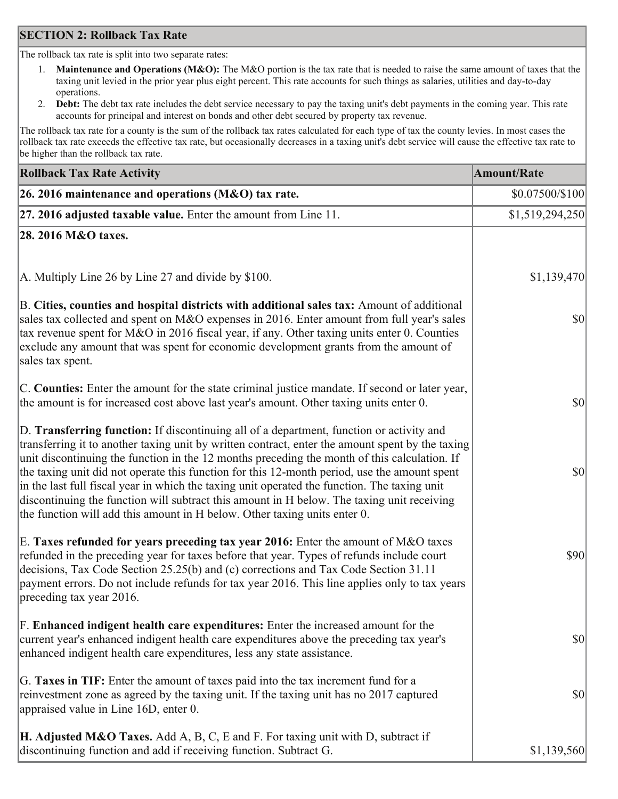### **SECTION 2: Rollback Tax Rate**

The rollback tax rate is split into two separate rates:

- Maintenance and Operations (M&O): The M&O portion is the tax rate that is needed to raise the same amount of taxes that the  $1_{\cdot}$ taxing unit levied in the prior year plus eight percent. This rate accounts for such things as salaries, utilities and day-to-day operations.
- Debt: The debt tax rate includes the debt service necessary to pay the taxing unit's debt payments in the coming year. This rate 2. accounts for principal and interest on bonds and other debt secured by property tax revenue.

The rollback tax rate for a county is the sum of the rollback tax rates calculated for each type of tax the county levies. In most cases the rollback tax rate exceeds the effective tax rate, but occasionally decreases in a taxing unit's debt service will cause the effective tax rate to be higher than the rollback tax rate.

| <b>Rollback Tax Rate Activity</b>                                                                                                                                                                                                                                                                                                                                                                                                                                                                                                                                                                                                                                       | <b>Amount/Rate</b> |
|-------------------------------------------------------------------------------------------------------------------------------------------------------------------------------------------------------------------------------------------------------------------------------------------------------------------------------------------------------------------------------------------------------------------------------------------------------------------------------------------------------------------------------------------------------------------------------------------------------------------------------------------------------------------------|--------------------|
| 26. 2016 maintenance and operations (M&O) tax rate.                                                                                                                                                                                                                                                                                                                                                                                                                                                                                                                                                                                                                     | \$0.07500/\$100    |
| $ 27.2016$ adjusted taxable value. Enter the amount from Line 11.                                                                                                                                                                                                                                                                                                                                                                                                                                                                                                                                                                                                       | \$1,519,294,250    |
| 28. 2016 M&O taxes.                                                                                                                                                                                                                                                                                                                                                                                                                                                                                                                                                                                                                                                     |                    |
|                                                                                                                                                                                                                                                                                                                                                                                                                                                                                                                                                                                                                                                                         |                    |
| A. Multiply Line 26 by Line 27 and divide by $$100$ .                                                                                                                                                                                                                                                                                                                                                                                                                                                                                                                                                                                                                   | \$1,139,470        |
| B. Cities, counties and hospital districts with additional sales tax: Amount of additional<br>sales tax collected and spent on M&O expenses in 2016. Enter amount from full year's sales<br>tax revenue spent for M&O in 2016 fiscal year, if any. Other taxing units enter 0. Counties<br>exclude any amount that was spent for economic development grants from the amount of<br>sales tax spent.                                                                                                                                                                                                                                                                     | $ 10\rangle$       |
| C. Counties: Enter the amount for the state criminal justice mandate. If second or later year,<br>the amount is for increased cost above last year's amount. Other taxing units enter 0.                                                                                                                                                                                                                                                                                                                                                                                                                                                                                | 30                 |
| D. Transferring function: If discontinuing all of a department, function or activity and<br>transferring it to another taxing unit by written contract, enter the amount spent by the taxing<br>unit discontinuing the function in the 12 months preceding the month of this calculation. If<br>the taxing unit did not operate this function for this 12-month period, use the amount spent<br>in the last full fiscal year in which the taxing unit operated the function. The taxing unit<br>discontinuing the function will subtract this amount in H below. The taxing unit receiving<br>the function will add this amount in H below. Other taxing units enter 0. | \$0                |
| E. Taxes refunded for years preceding tax year 2016: Enter the amount of M&O taxes<br>refunded in the preceding year for taxes before that year. Types of refunds include court<br>decisions, Tax Code Section 25.25(b) and (c) corrections and Tax Code Section 31.11<br>payment errors. Do not include refunds for tax year 2016. This line applies only to tax years<br>preceding tax year 2016.                                                                                                                                                                                                                                                                     | \$90               |
| F. Enhanced indigent health care expenditures: Enter the increased amount for the<br>current year's enhanced indigent health care expenditures above the preceding tax year's<br>enhanced indigent health care expenditures, less any state assistance.                                                                                                                                                                                                                                                                                                                                                                                                                 | <b>\$0</b>         |
| G. Taxes in TIF: Enter the amount of taxes paid into the tax increment fund for a<br>reinvestment zone as agreed by the taxing unit. If the taxing unit has no 2017 captured<br>appraised value in Line 16D, enter 0.                                                                                                                                                                                                                                                                                                                                                                                                                                                   | $ 10\rangle$       |
| <b>H. Adjusted M&amp;O Taxes.</b> Add A, B, C, E and F. For taxing unit with D, subtract if<br>discontinuing function and add if receiving function. Subtract G.                                                                                                                                                                                                                                                                                                                                                                                                                                                                                                        | \$1,139,560        |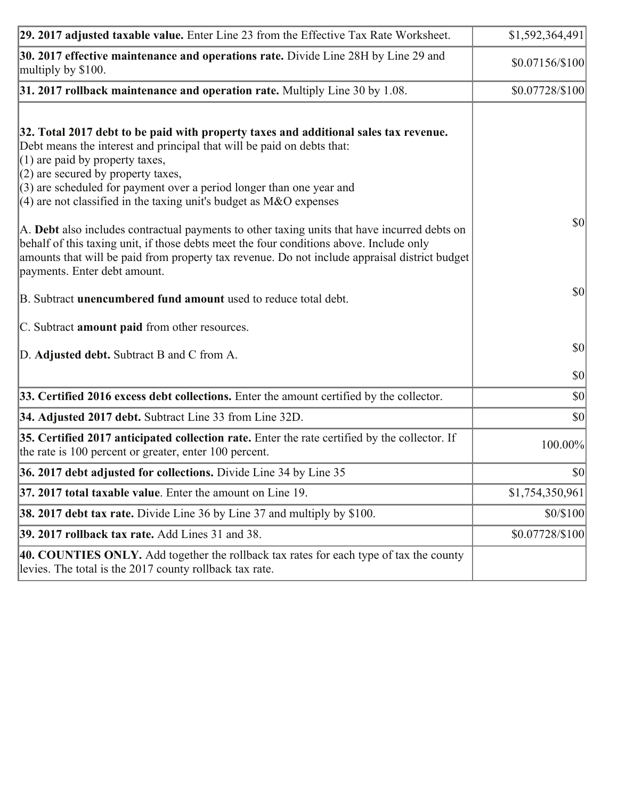| 29. 2017 adjusted taxable value. Enter Line 23 from the Effective Tax Rate Worksheet.                                                                                                                                                                                                                                                                                                         | \$1,592,364,491 |
|-----------------------------------------------------------------------------------------------------------------------------------------------------------------------------------------------------------------------------------------------------------------------------------------------------------------------------------------------------------------------------------------------|-----------------|
| 30. 2017 effective maintenance and operations rate. Divide Line 28H by Line 29 and<br>multiply by \$100.                                                                                                                                                                                                                                                                                      | \$0.07156/\$100 |
| $31.2017$ rollback maintenance and operation rate. Multiply Line 30 by 1.08.                                                                                                                                                                                                                                                                                                                  | \$0.07728/\$100 |
| 32. Total 2017 debt to be paid with property taxes and additional sales tax revenue.<br>Debt means the interest and principal that will be paid on debts that:<br>$(1)$ are paid by property taxes,<br>$(2)$ are secured by property taxes,<br>$(3)$ are scheduled for payment over a period longer than one year and<br>(4) are not classified in the taxing unit's budget as $M&O$ expenses |                 |
| A. Debt also includes contractual payments to other taxing units that have incurred debts on<br>behalf of this taxing unit, if those debts meet the four conditions above. Include only<br>amounts that will be paid from property tax revenue. Do not include appraisal district budget<br>payments. Enter debt amount.                                                                      | 30              |
| B. Subtract unencumbered fund amount used to reduce total debt.                                                                                                                                                                                                                                                                                                                               | \$0             |
| C. Subtract amount paid from other resources.                                                                                                                                                                                                                                                                                                                                                 |                 |
| D. Adjusted debt. Subtract B and C from A.                                                                                                                                                                                                                                                                                                                                                    | <b>\$0</b>      |
|                                                                                                                                                                                                                                                                                                                                                                                               | \$0             |
| 33. Certified 2016 excess debt collections. Enter the amount certified by the collector.                                                                                                                                                                                                                                                                                                      | $ 10\rangle$    |
| 34. Adjusted 2017 debt. Subtract Line 33 from Line 32D.                                                                                                                                                                                                                                                                                                                                       | \$0             |
| 35. Certified 2017 anticipated collection rate. Enter the rate certified by the collector. If<br>the rate is 100 percent or greater, enter 100 percent.                                                                                                                                                                                                                                       | 100.00%         |
| 36. 2017 debt adjusted for collections. Divide Line 34 by Line 35                                                                                                                                                                                                                                                                                                                             | \$0             |
| $ 37, 2017$ total taxable value. Enter the amount on Line 19.                                                                                                                                                                                                                                                                                                                                 | \$1,754,350,961 |
| <b>38. 2017 debt tax rate.</b> Divide Line 36 by Line 37 and multiply by \$100.                                                                                                                                                                                                                                                                                                               | \$0/\$100       |
| <b>39. 2017 rollback tax rate.</b> Add Lines 31 and 38.                                                                                                                                                                                                                                                                                                                                       | \$0.07728/\$100 |
| 40. COUNTIES ONLY. Add together the rollback tax rates for each type of tax the county<br>levies. The total is the 2017 county rollback tax rate.                                                                                                                                                                                                                                             |                 |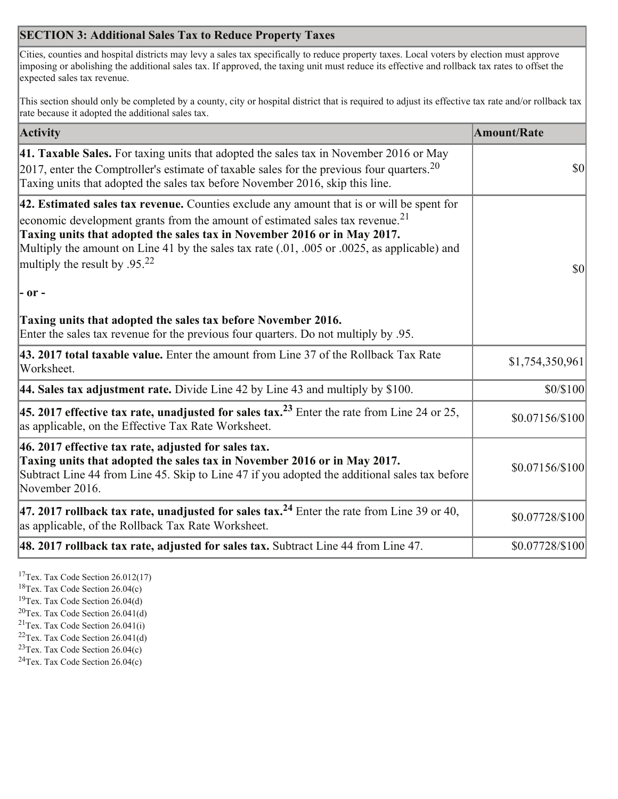# **SECTION 3: Additional Sales Tax to Reduce Property Taxes**

Cities, counties and hospital districts may levy a sales tax specifically to reduce property taxes. Local voters by election must approve imposing or abolishing the additional sales tax. If approved, the taxing unit must reduce its effective and rollback tax rates to offset the expected sales tax revenue.

This section should only be completed by a county, city or hospital district that is required to adjust its effective tax rate and/or rollback tax rate because it adopted the additional sales tax.

| <b>Activity</b>                                                                                                                                                                                                                                                                                                                                                                                                 | <b>Amount/Rate</b>                  |
|-----------------------------------------------------------------------------------------------------------------------------------------------------------------------------------------------------------------------------------------------------------------------------------------------------------------------------------------------------------------------------------------------------------------|-------------------------------------|
| 41. Taxable Sales. For taxing units that adopted the sales tax in November 2016 or May<br>[2017, enter the Comptroller's estimate of taxable sales for the previous four quarters. <sup>20</sup><br>Taxing units that adopted the sales tax before November 2016, skip this line.                                                                                                                               | $\vert \mathbf{S} \mathbf{0} \vert$ |
| 42. Estimated sales tax revenue. Counties exclude any amount that is or will be spent for<br>economic development grants from the amount of estimated sales tax revenue. <sup>21</sup><br>Taxing units that adopted the sales tax in November 2016 or in May 2017.<br>Multiply the amount on Line 41 by the sales tax rate (.01, .005 or .0025, as applicable) and<br>multiply the result by .95. <sup>22</sup> | \$0                                 |
| $ -$ or $-$                                                                                                                                                                                                                                                                                                                                                                                                     |                                     |
| Taxing units that adopted the sales tax before November 2016.<br>Enter the sales tax revenue for the previous four quarters. Do not multiply by .95.                                                                                                                                                                                                                                                            |                                     |
| 43. 2017 total taxable value. Enter the amount from Line 37 of the Rollback Tax Rate<br>Worksheet.                                                                                                                                                                                                                                                                                                              | \$1,754,350,961                     |
| 44. Sales tax adjustment rate. Divide Line 42 by Line 43 and multiply by $$100$ .                                                                                                                                                                                                                                                                                                                               | \$0/\$100                           |
| 45. 2017 effective tax rate, unadjusted for sales tax. <sup>23</sup> Enter the rate from Line 24 or 25,<br>as applicable, on the Effective Tax Rate Worksheet.                                                                                                                                                                                                                                                  | \$0.07156/\$100                     |
| 46. 2017 effective tax rate, adjusted for sales tax.<br>Taxing units that adopted the sales tax in November 2016 or in May 2017.<br>Subtract Line 44 from Line 45. Skip to Line 47 if you adopted the additional sales tax before<br>November 2016.                                                                                                                                                             | \$0.07156/\$100                     |
| 47. 2017 rollback tax rate, unadjusted for sales tax. <sup>24</sup> Enter the rate from Line 39 or 40,<br>as applicable, of the Rollback Tax Rate Worksheet.                                                                                                                                                                                                                                                    | \$0.07728/\$100                     |
| $ 48.2017$ rollback tax rate, adjusted for sales tax. Subtract Line 44 from Line 47.                                                                                                                                                                                                                                                                                                                            | \$0.07728/\$100                     |

 $17$ Tex. Tax Code Section 26.012(17)

 $18$ Tex. Tax Code Section 26.04(c)

<sup>19</sup>Tex. Tax Code Section 26.04(d)

 $20$ Tex. Tax Code Section 26.041(d)

- <sup>21</sup>Tex. Tax Code Section  $26.041(i)$
- ${}^{22}$ Tex. Tax Code Section 26.041(d)
- <sup>23</sup>Tex. Tax Code Section  $26.04(c)$

<sup>24</sup>Tex. Tax Code Section  $26.04(c)$